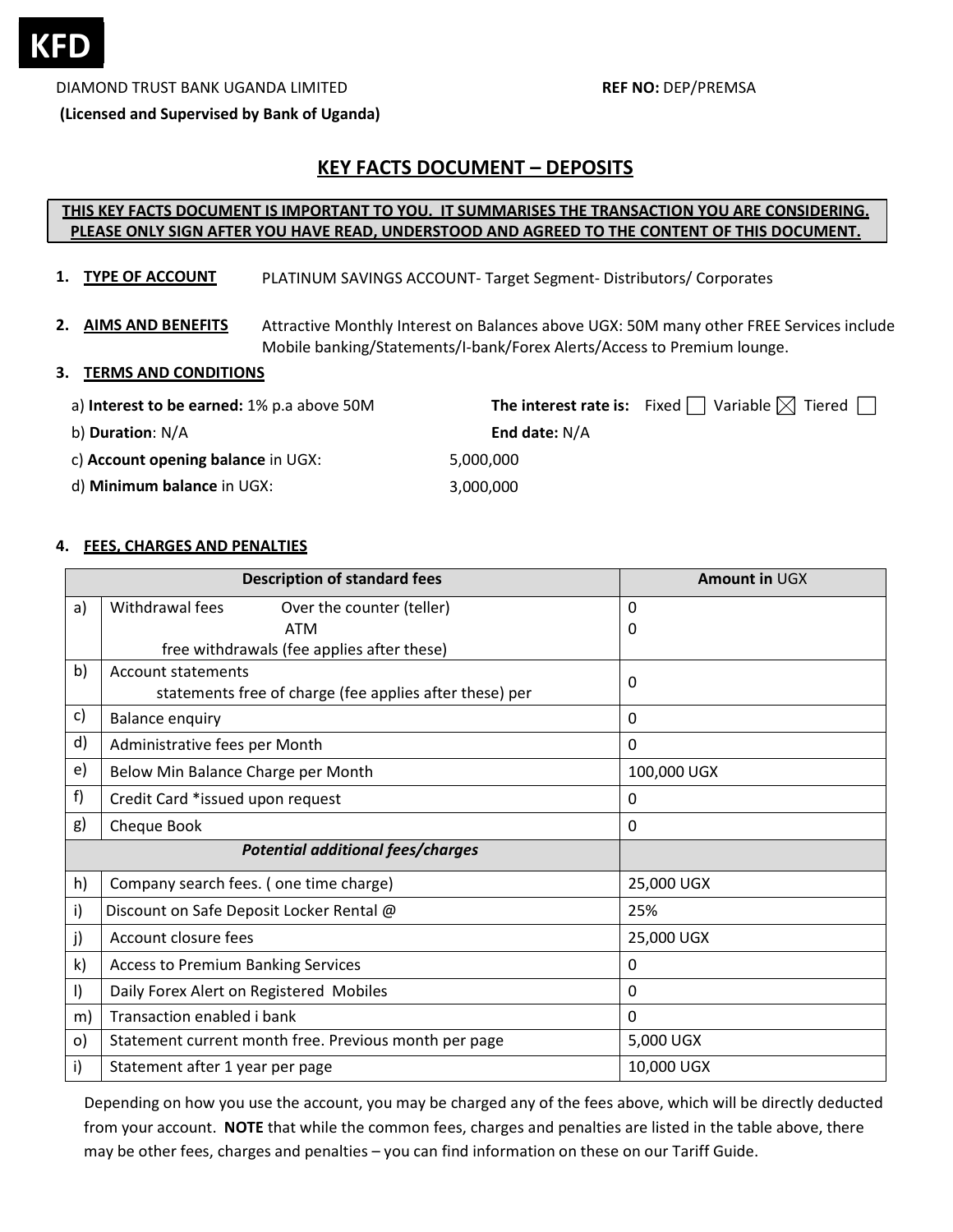

DIAMOND TRUST BANK UGANDA LIMITED **REF NO:** DEP/PREMSA

**(Licensed and Supervised by Bank of Uganda)**

# **KEY FACTS DOCUMENT – DEPOSITS**

# **THIS KEY FACTS DOCUMENT IS IMPORTANT TO YOU. IT SUMMARISES THE TRANSACTION YOU ARE CONSIDERING. PLEASE ONLY SIGN AFTER YOU HAVE READ, UNDERSTOOD AND AGREED TO THE CONTENT OF THIS DOCUMENT.**

- **1. TYPE OF ACCOUNT** PLATINUM SAVINGS ACCOUNT‐ Target Segment‐ Distributors/ Corporates
- **2. AIMS AND BENEFITS** Attractive Monthly Interest on Balances above UGX: 50M many other FREE Services include Mobile banking/Statements/I‐bank/Forex Alerts/Access to Premium lounge.

#### **3. TERMS AND CONDITIONS**

| a) Interest to be earned: 1% p.a above 50M |                 | <b>The interest rate is:</b> Fixed $\Box$ Variable $\boxtimes$ Tiered $\Box$ |
|--------------------------------------------|-----------------|------------------------------------------------------------------------------|
| b) <b>Duration</b> : N/A                   | End date: $N/A$ |                                                                              |

5,000,000 3,000,000

c) **Account opening balance** in UGX:

d) **Minimum balance** in UGX:

### **4. FEES, CHARGES AND PENALTIES**

| <b>Description of standard fees</b>      |                                                                                      | Amount in UGX |
|------------------------------------------|--------------------------------------------------------------------------------------|---------------|
| a)                                       | Withdrawal fees<br>Over the counter (teller)                                         | $\Omega$      |
|                                          | <b>ATM</b>                                                                           | 0             |
|                                          | free withdrawals (fee applies after these)                                           |               |
| b)                                       | <b>Account statements</b><br>statements free of charge (fee applies after these) per | 0             |
| c)                                       | <b>Balance enquiry</b>                                                               | $\Omega$      |
| d)                                       | Administrative fees per Month                                                        | $\Omega$      |
| e)                                       | Below Min Balance Charge per Month                                                   | 100,000 UGX   |
| f)                                       | Credit Card *issued upon request                                                     | 0             |
| g)                                       | Cheque Book                                                                          | 0             |
| <b>Potential additional fees/charges</b> |                                                                                      |               |
| h)                                       | Company search fees. (one time charge)                                               | 25,000 UGX    |
| i)                                       | Discount on Safe Deposit Locker Rental @                                             | 25%           |
| j)                                       | Account closure fees                                                                 | 25,000 UGX    |
| $\mathsf{k}$                             | <b>Access to Premium Banking Services</b>                                            | $\Omega$      |
| $\vert$                                  | Daily Forex Alert on Registered Mobiles                                              | $\Omega$      |
| m)                                       | Transaction enabled i bank                                                           | 0             |
| $\circ)$                                 | Statement current month free. Previous month per page                                | 5,000 UGX     |
| i)                                       | Statement after 1 year per page                                                      | 10,000 UGX    |

Depending on how you use the account, you may be charged any of the fees above, which will be directly deducted from your account. **NOTE** that while the common fees, charges and penalties are listed in the table above, there may be other fees, charges and penalties – you can find information on these on our Tariff Guide.